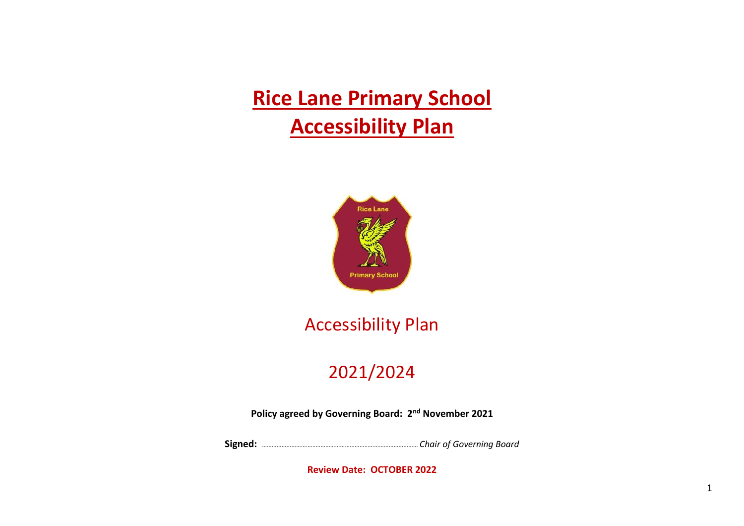**Rice Lane Primary School Accessibility Plan**



# Accessibility Plan

## 2021/2024

**Policy agreed by Governing Board: 2nd November 2021**

**Signed:** …………………………………………………………………………………… *Chair of Governing Board*

**Review Date: OCTOBER 2022**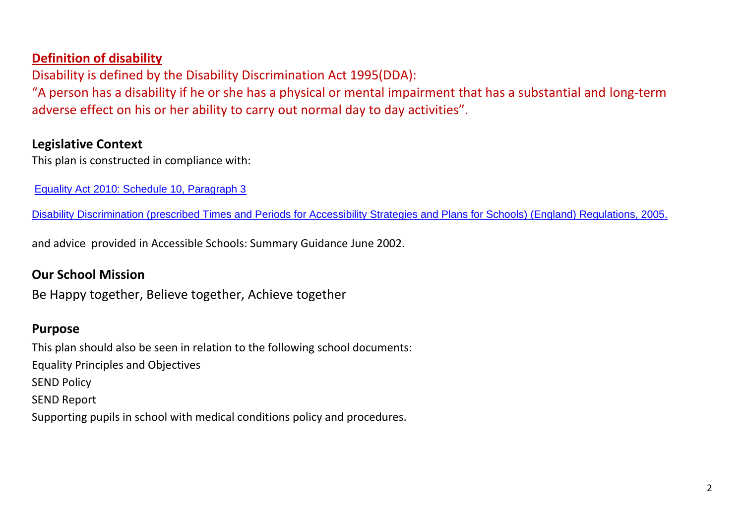## **Definition of disability**

Disability is defined by the Disability Discrimination Act 1995(DDA):

"A person has a disability if he or she has a physical or mental impairment that has a substantial and long-term adverse effect on his or her ability to carry out normal day to day activities".

### **Legislative Context**

This plan is constructed in compliance with:

[Equality Act 2010: Schedule 10, Paragraph 3](http://www.legislation.gov.uk/ukpga/2010/15/schedule/10)

[Disability Discrimination \(prescribed Times and Periods for Accessibility Strategies and Plans for Schools\) \(England\) Regulations, 2005.](http://www.legislation.gov.uk/uksi/2005/3221/made)

and advice provided in Accessible Schools: Summary Guidance June 2002.

### **Our School Mission**

Be Happy together, Believe together, Achieve together

#### **Purpose**

This plan should also be seen in relation to the following school documents: Equality Principles and Objectives SEND Policy SEND Report Supporting pupils in school with medical conditions policy and procedures.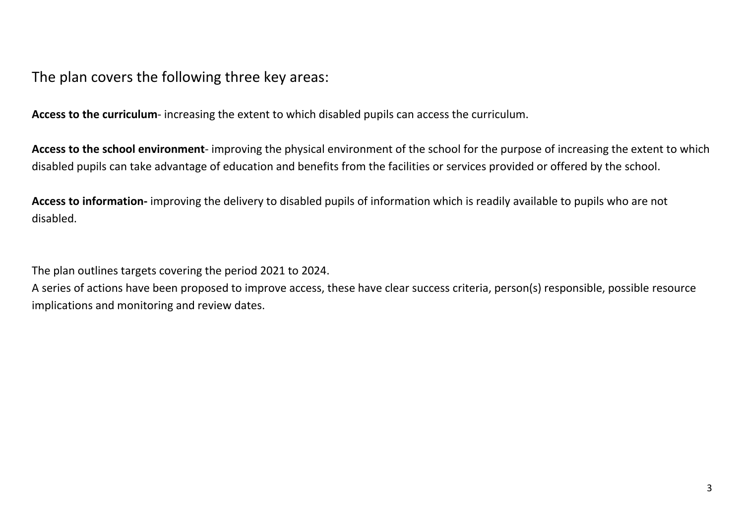The plan covers the following three key areas:

**Access to the curriculum**- increasing the extent to which disabled pupils can access the curriculum.

**Access to the school environment**- improving the physical environment of the school for the purpose of increasing the extent to which disabled pupils can take advantage of education and benefits from the facilities or services provided or offered by the school.

**Access to information-** improving the delivery to disabled pupils of information which is readily available to pupils who are not disabled.

The plan outlines targets covering the period 2021 to 2024.

A series of actions have been proposed to improve access, these have clear success criteria, person(s) responsible, possible resource implications and monitoring and review dates.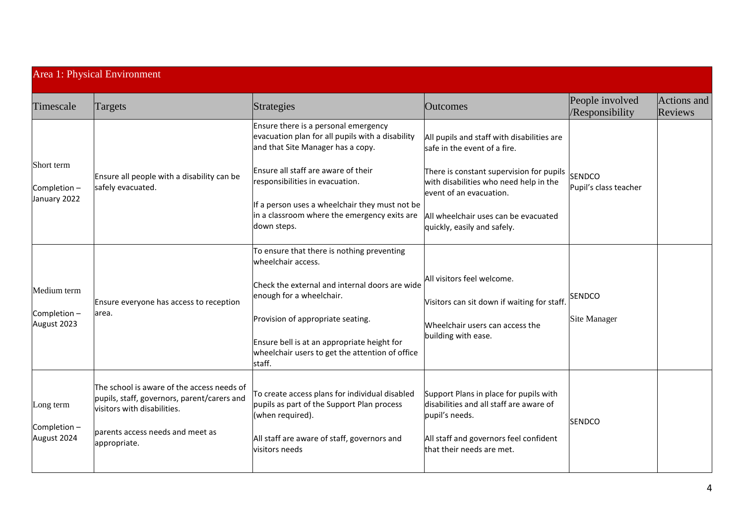| Area 1: Physical Environment               |                                                                                                                                                                              |                                                                                                                                                                                                                                                                                                                          |                                                                                                                                                                                                                                                                    |                                        |                        |  |  |
|--------------------------------------------|------------------------------------------------------------------------------------------------------------------------------------------------------------------------------|--------------------------------------------------------------------------------------------------------------------------------------------------------------------------------------------------------------------------------------------------------------------------------------------------------------------------|--------------------------------------------------------------------------------------------------------------------------------------------------------------------------------------------------------------------------------------------------------------------|----------------------------------------|------------------------|--|--|
| Timescale                                  | Targets                                                                                                                                                                      | Strategies                                                                                                                                                                                                                                                                                                               | <b>Outcomes</b>                                                                                                                                                                                                                                                    | People involved<br>/Responsibility     | Actions and<br>Reviews |  |  |
| Short term<br>Completion -<br>January 2022 | Ensure all people with a disability can be<br>safely evacuated.                                                                                                              | Ensure there is a personal emergency<br>evacuation plan for all pupils with a disability<br>and that Site Manager has a copy.<br>Ensure all staff are aware of their<br>responsibilities in evacuation.<br>If a person uses a wheelchair they must not be<br>in a classroom where the emergency exits are<br>down steps. | All pupils and staff with disabilities are<br>safe in the event of a fire.<br>There is constant supervision for pupils<br>with disabilities who need help in the<br>event of an evacuation.<br>All wheelchair uses can be evacuated<br>quickly, easily and safely. | <b>SENDCO</b><br>Pupil's class teacher |                        |  |  |
| Medium term<br>Completion -<br>August 2023 | Ensure everyone has access to reception<br>area.                                                                                                                             | To ensure that there is nothing preventing<br>wheelchair access.<br>Check the external and internal doors are wide<br>enough for a wheelchair.<br>Provision of appropriate seating.<br>Ensure bell is at an appropriate height for<br>wheelchair users to get the attention of office<br>staff.                          | All visitors feel welcome.<br>Visitors can sit down if waiting for staff.<br>Wheelchair users can access the<br>building with ease.                                                                                                                                | <b>SENDCO</b><br><b>Site Manager</b>   |                        |  |  |
| Long term<br>Completion-<br>August 2024    | The school is aware of the access needs of<br>pupils, staff, governors, parent/carers and<br>visitors with disabilities.<br>parents access needs and meet as<br>appropriate. | To create access plans for individual disabled<br>pupils as part of the Support Plan process<br>(when required).<br>All staff are aware of staff, governors and<br>visitors needs                                                                                                                                        | Support Plans in place for pupils with<br>disabilities and all staff are aware of<br>pupil's needs.<br>All staff and governors feel confident<br>that their needs are met.                                                                                         | SENDCO                                 |                        |  |  |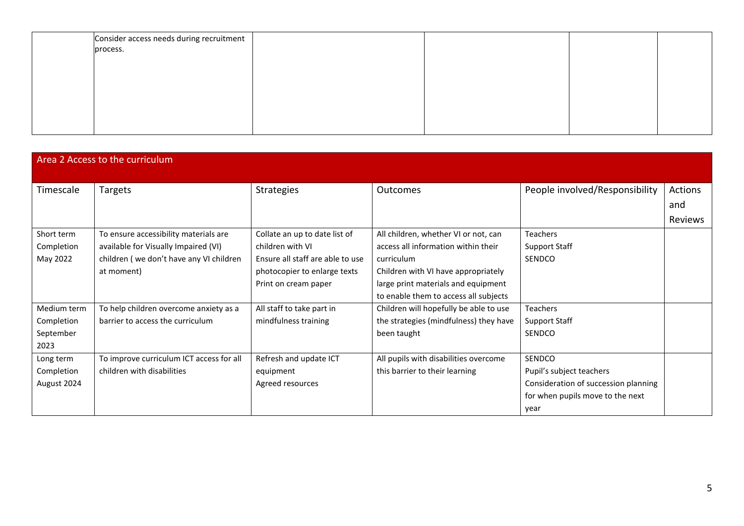| Consider access needs during recruitment<br>process. |  |  |
|------------------------------------------------------|--|--|
|                                                      |  |  |
|                                                      |  |  |
|                                                      |  |  |
|                                                      |  |  |
|                                                      |  |  |

| Area 2 Access to the curriculum |                                          |                                  |                                        |                                      |         |  |  |  |
|---------------------------------|------------------------------------------|----------------------------------|----------------------------------------|--------------------------------------|---------|--|--|--|
|                                 |                                          |                                  |                                        |                                      |         |  |  |  |
| Timescale                       | Targets                                  | Strategies                       | <b>Outcomes</b>                        | People involved/Responsibility       | Actions |  |  |  |
|                                 |                                          |                                  |                                        |                                      | and     |  |  |  |
|                                 |                                          |                                  |                                        |                                      | Reviews |  |  |  |
| Short term                      | To ensure accessibility materials are    | Collate an up to date list of    | All children, whether VI or not, can   | <b>Teachers</b>                      |         |  |  |  |
| Completion                      | available for Visually Impaired (VI)     | children with VI                 | access all information within their    | <b>Support Staff</b>                 |         |  |  |  |
| May 2022                        | children (we don't have any VI children  | Ensure all staff are able to use | curriculum                             | SENDCO                               |         |  |  |  |
|                                 | at moment)                               | photocopier to enlarge texts     | Children with VI have appropriately    |                                      |         |  |  |  |
|                                 |                                          | Print on cream paper             | large print materials and equipment    |                                      |         |  |  |  |
|                                 |                                          |                                  | to enable them to access all subjects  |                                      |         |  |  |  |
| Medium term                     | To help children overcome anxiety as a   | All staff to take part in        | Children will hopefully be able to use | <b>Teachers</b>                      |         |  |  |  |
| Completion                      | barrier to access the curriculum         | mindfulness training             | the strategies (mindfulness) they have | <b>Support Staff</b>                 |         |  |  |  |
| September                       |                                          |                                  | been taught                            | SENDCO                               |         |  |  |  |
| 2023                            |                                          |                                  |                                        |                                      |         |  |  |  |
| Long term                       | To improve curriculum ICT access for all | Refresh and update ICT           | All pupils with disabilities overcome  | SENDCO                               |         |  |  |  |
| Completion                      | children with disabilities               | equipment                        | this barrier to their learning         | Pupil's subject teachers             |         |  |  |  |
| August 2024                     |                                          | Agreed resources                 |                                        | Consideration of succession planning |         |  |  |  |
|                                 |                                          |                                  |                                        | for when pupils move to the next     |         |  |  |  |
|                                 |                                          |                                  |                                        | year                                 |         |  |  |  |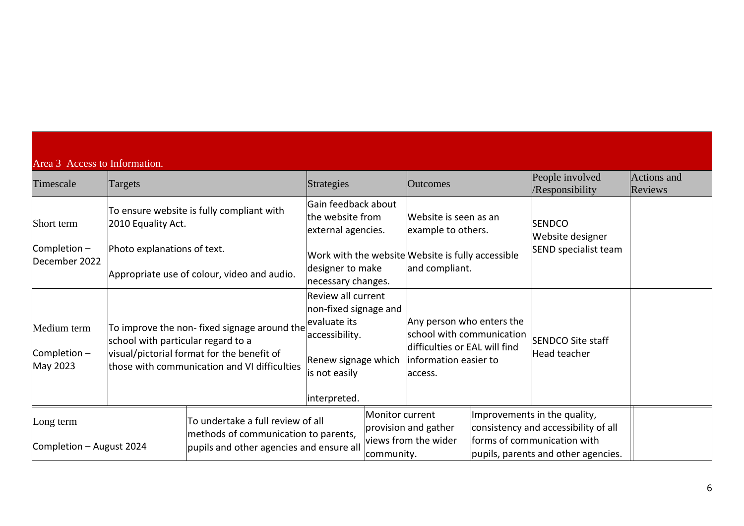| Area 3 Access to Information.           |                                    |                                                                                                                                           |                                                                                                                                       |                               |                                                                                                                             |                                                                                                                                            |                                      |
|-----------------------------------------|------------------------------------|-------------------------------------------------------------------------------------------------------------------------------------------|---------------------------------------------------------------------------------------------------------------------------------------|-------------------------------|-----------------------------------------------------------------------------------------------------------------------------|--------------------------------------------------------------------------------------------------------------------------------------------|--------------------------------------|
| Timescale                               | Targets                            |                                                                                                                                           | Strategies                                                                                                                            |                               | <b>Outcomes</b>                                                                                                             | People involved<br>/Responsibility                                                                                                         | <b>Actions</b> and<br><b>Reviews</b> |
| Short term                              | 2010 Equality Act.                 | To ensure website is fully compliant with                                                                                                 | Gain feedback about<br>the website from<br>external agencies.                                                                         |                               | Website is seen as an<br>example to others.                                                                                 | <b>SENDCO</b><br>Website designer                                                                                                          |                                      |
| Completion $-$<br>December 2022         | Photo explanations of text.        | Appropriate use of colour, video and audio.                                                                                               | designer to make<br>necessary changes.                                                                                                |                               | Work with the website Website is fully accessible<br>and compliant.                                                         | SEND specialist team                                                                                                                       |                                      |
| Medium term<br>Completion -<br>May 2023 | school with particular regard to a | To improve the non-fixed signage around the<br>visual/pictorial format for the benefit of<br>those with communication and VI difficulties | Review all current<br>non-fixed signage and<br>evaluate its<br>accessibility.<br>Renew signage which<br>is not easily<br>interpreted. |                               | Any person who enters the<br>school with communication<br>difficulties or EAL will find<br>information easier to<br>access. | <b>SENDCO Site staff</b><br>Head teacher                                                                                                   |                                      |
| Long term<br>Completion - August 2024   |                                    | To undertake a full review of all<br>methods of communication to parents,<br>pupils and other agencies and ensure all                     |                                                                                                                                       | Monitor current<br>community. | provision and gather<br>views from the wider                                                                                | Improvements in the quality,<br>consistency and accessibility of all<br>forms of communication with<br>pupils, parents and other agencies. |                                      |